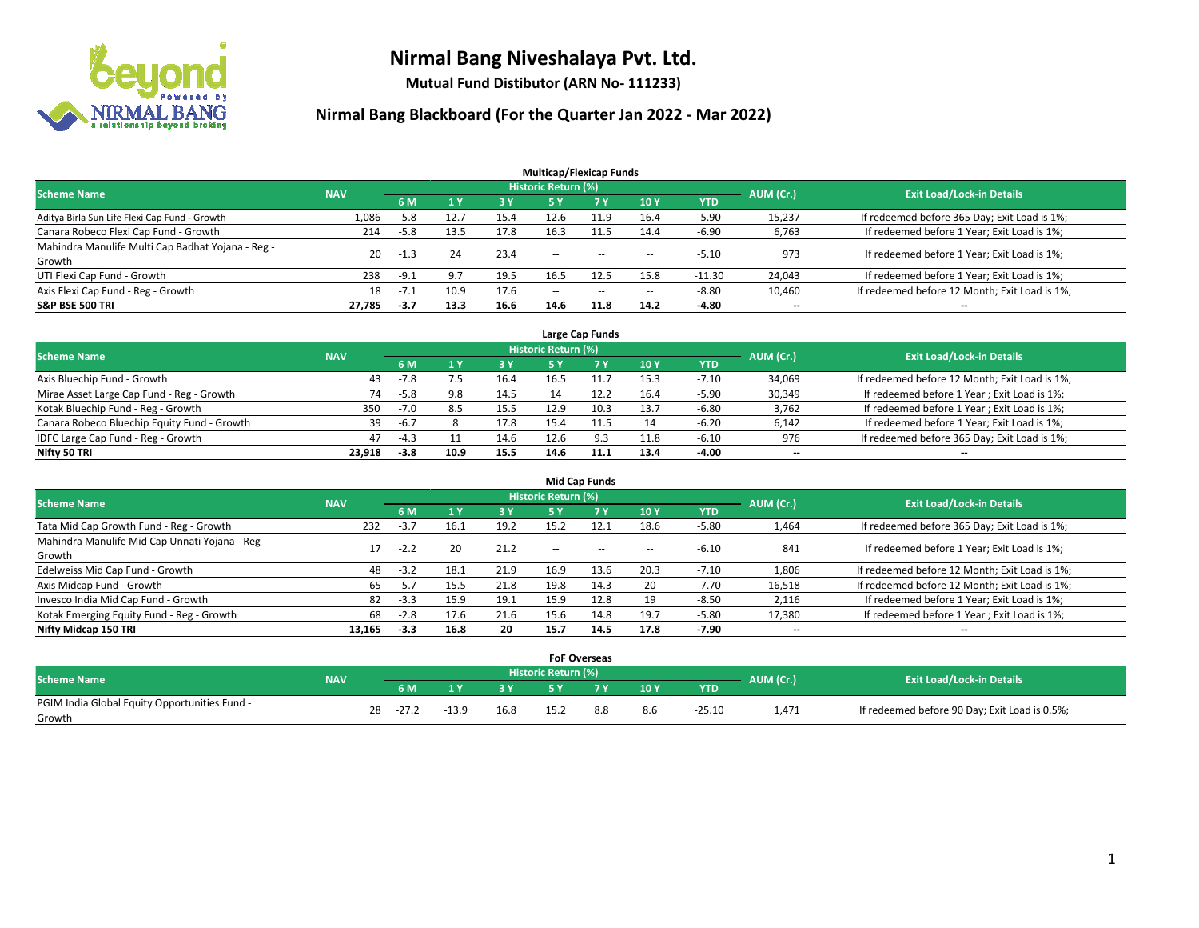

**Mutual Fund Distibutor (ARN No- 111233)**

|                                                   |            |                                                            |      |      | <b>Multicap/Flexicap Funds</b> |        |                          |          |                          |                                               |
|---------------------------------------------------|------------|------------------------------------------------------------|------|------|--------------------------------|--------|--------------------------|----------|--------------------------|-----------------------------------------------|
| <b>Scheme Name</b>                                | <b>NAV</b> |                                                            |      |      | Historic Return (%)            |        |                          |          | AUM (Cr.)                | <b>Exit Load/Lock-in Details</b>              |
|                                                   |            | <b>10Y</b><br>6 M<br><b>7Y</b><br><b>YTD</b><br>3 Y<br>5 Y |      |      |                                |        |                          |          |                          |                                               |
| Aditya Birla Sun Life Flexi Cap Fund - Growth     | 1,086      | -5.8                                                       | 12.7 | 15.4 | 12.6                           |        | 16.4                     | $-5.90$  | 15,237                   | If redeemed before 365 Day; Exit Load is 1%;  |
| Canara Robeco Flexi Cap Fund - Growth             | 214        | -5.8                                                       | 13.5 | 17.8 | 16.3                           | 11.5   | 14.4                     | $-6.90$  | 6,763                    | If redeemed before 1 Year; Exit Load is 1%;   |
| Mahindra Manulife Multi Cap Badhat Yojana - Reg - | 20         | $-1.3$                                                     | 24   | 23.4 | --                             | $-$    | --                       | $-5.10$  | 973                      | If redeemed before 1 Year; Exit Load is 1%;   |
| Growth                                            |            |                                                            |      |      |                                |        |                          |          |                          |                                               |
| UTI Flexi Cap Fund - Growth                       | 238        | $-9.1$                                                     | 9.7  | 19.5 | 16.5                           | 12.5   | 15.8                     | $-11.30$ | 24,043                   | If redeemed before 1 Year; Exit Load is 1%;   |
| Axis Flexi Cap Fund - Reg - Growth                | 18         | $-7.1$                                                     | 10.9 | 17.6 | $\overline{\phantom{m}}$       | $\sim$ | $\overline{\phantom{a}}$ | $-8.80$  | 10,460                   | If redeemed before 12 Month; Exit Load is 1%; |
| <b>S&amp;P BSE 500 TRI</b>                        | 27.785     | $-3.7$                                                     | 13.3 | 16.6 | 14.6                           | 11.8   | 14.2                     | -4.80    | $\overline{\phantom{a}}$ | $\overline{\phantom{a}}$                      |

| Large Cap Funds                             |            |        |      |      |                            |      |      |            |           |                                               |  |  |  |
|---------------------------------------------|------------|--------|------|------|----------------------------|------|------|------------|-----------|-----------------------------------------------|--|--|--|
| <b>Scheme Name</b>                          | <b>NAV</b> |        |      |      | <b>Historic Return (%)</b> |      |      |            | AUM (Cr.) | <b>Exit Load/Lock-in Details</b>              |  |  |  |
|                                             |            | 6 M    |      | 3 Y  |                            |      | 10Y  | <b>YTD</b> |           |                                               |  |  |  |
| Axis Bluechip Fund - Growth                 | 43         | $-7.8$ |      | 16.4 | 16.5                       | 11.7 | 15.3 | $-7.10$    | 34,069    | If redeemed before 12 Month; Exit Load is 1%; |  |  |  |
| Mirae Asset Large Cap Fund - Reg - Growth   | 74         | $-5.8$ | 9.8  | 14.5 |                            | 12.2 | 16.4 | $-5.90$    | 30,349    | If redeemed before 1 Year; Exit Load is 1%;   |  |  |  |
| Kotak Bluechip Fund - Reg - Growth          | 350        | $-7.0$ |      | 15.5 | 12.9                       | 10.3 | 13.7 | $-6.80$    | 3,762     | If redeemed before 1 Year; Exit Load is 1%;   |  |  |  |
| Canara Robeco Bluechip Equity Fund - Growth | 39         | $-6.7$ |      | 17.8 | 15.4                       | 11.5 | 14   | $-6.20$    | 6,142     | If redeemed before 1 Year; Exit Load is 1%;   |  |  |  |
| IDFC Large Cap Fund - Reg - Growth          | 47         | $-4.3$ |      | 14.6 | 12.6                       |      | 11.8 | $-6.10$    | 976       | If redeemed before 365 Day; Exit Load is 1%;  |  |  |  |
| Nifty 50 TRI                                | 23.918     | $-3.8$ | 10.9 | 15.5 | 14.6                       | 11.1 | 13.4 | -4.00      | $- -$     | $\overline{\phantom{a}}$                      |  |  |  |

| <b>Mid Cap Funds</b>                            |            |           |      |      |                            |           |        |            |           |                                               |  |  |  |
|-------------------------------------------------|------------|-----------|------|------|----------------------------|-----------|--------|------------|-----------|-----------------------------------------------|--|--|--|
| <b>Scheme Name</b>                              | <b>NAV</b> |           |      |      | <b>Historic Return (%)</b> |           |        |            | AUM (Cr.) | <b>Exit Load/Lock-in Details</b>              |  |  |  |
|                                                 |            | <b>6M</b> |      | 3 Y  | 5 Y                        | <b>7Y</b> | 10Y    | <b>YTD</b> |           |                                               |  |  |  |
| Tata Mid Cap Growth Fund - Reg - Growth         | 232        | $-3.7$    | 16.1 | 19.2 | 15.2                       | 12.1      | 18.6   | $-5.80$    | 1,464     | If redeemed before 365 Day; Exit Load is 1%;  |  |  |  |
| Mahindra Manulife Mid Cap Unnati Yojana - Reg - | 17         | $-2.2$    | 20   | 21.2 | $\sim$ $\sim$              | $\sim$    | $\sim$ | $-6.10$    | 841       | If redeemed before 1 Year; Exit Load is 1%;   |  |  |  |
| Growth                                          |            |           |      |      |                            |           |        |            |           |                                               |  |  |  |
| Edelweiss Mid Cap Fund - Growth                 | 48         | $-3.2$    | 18.1 | 21.9 | 16.9                       | 13.6      | 20.3   | $-7.10$    | 1,806     | If redeemed before 12 Month; Exit Load is 1%; |  |  |  |
| Axis Midcap Fund - Growth                       | 65         | $-5.7$    | 15.5 | 21.8 | 19.8                       | 14.3      | 20     | $-7.70$    | 16,518    | If redeemed before 12 Month; Exit Load is 1%; |  |  |  |
| Invesco India Mid Cap Fund - Growth             | 82         | $-3.3$    | 15.9 | 19.1 | 15.9                       | 12.8      | 19     | $-8.50$    | 2,116     | If redeemed before 1 Year; Exit Load is 1%;   |  |  |  |
| Kotak Emerging Equity Fund - Reg - Growth       | 68         | $-2.8$    | 17.6 | 21.6 | 15.6                       | 14.8      | 19.7   | $-5.80$    | 17,380    | If redeemed before 1 Year; Exit Load is 1%;   |  |  |  |
| Nifty Midcap 150 TRI                            | 13.165     | -3.3      | 16.8 | 20   | 15.7                       | 14.5      | 17.8   | -7.90      | $- -$     | $\overline{\phantom{a}}$                      |  |  |  |

|                                               |            |    |         |         |      | <b>FoF Overseas</b>        |     |     |          |           |                                               |
|-----------------------------------------------|------------|----|---------|---------|------|----------------------------|-----|-----|----------|-----------|-----------------------------------------------|
| <b>Scheme Name</b>                            | <b>NAV</b> |    |         |         |      | <b>Historic Return (%)</b> |     |     |          |           | <b>Exit Load/Lock-in Details</b>              |
|                                               |            |    | 6 M     | ιv      | 3V   |                            | 7 V | 10Y | YTD      | AUM (Cr.) |                                               |
| PGIM India Global Equity Opportunities Fund - |            | 28 | $-27.2$ | $-13.9$ | 16.8 | 15.2                       |     | 8.6 | $-25.10$ | 1,471     | If redeemed before 90 Day; Exit Load is 0.5%; |
| Growth                                        |            |    |         |         |      |                            |     |     |          |           |                                               |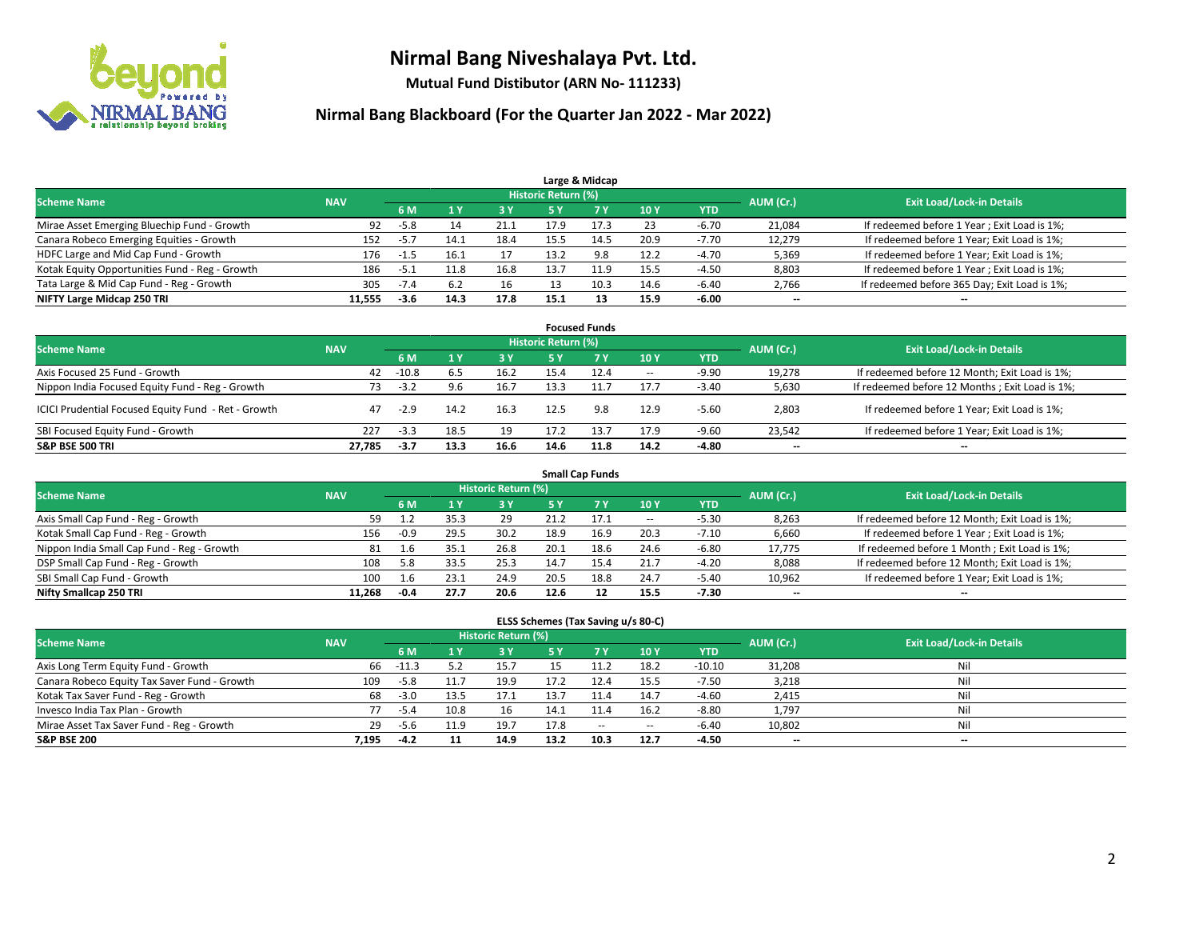

**Mutual Fund Distibutor (ARN No- 111233)**

| Large & Midcap                                 |            |        |      |      |                     |      |      |            |           |                                              |  |  |  |
|------------------------------------------------|------------|--------|------|------|---------------------|------|------|------------|-----------|----------------------------------------------|--|--|--|
| <b>Scheme Name</b>                             | <b>NAV</b> |        |      |      | Historic Return (%) |      |      |            | AUM (Cr.) | <b>Exit Load/Lock-in Details</b>             |  |  |  |
|                                                |            | 6 M    |      | 3 Y  | 5 ۷                 |      | 10Y  | <b>YTD</b> |           |                                              |  |  |  |
| Mirae Asset Emerging Bluechip Fund - Growth    | 92         | $-5.8$ |      | 21.1 | 17.9                | 17.3 | 23   | -6.70      | 21,084    | If redeemed before 1 Year; Exit Load is 1%;  |  |  |  |
| Canara Robeco Emerging Equities - Growth       | 152        | $-5.7$ | 14.1 | 18.4 | 15.5                | 14.5 | 20.9 | $-7.70$    | 12,279    | If redeemed before 1 Year; Exit Load is 1%;  |  |  |  |
| HDFC Large and Mid Cap Fund - Growth           | 176        | -1.5   |      |      | 13.2                | 9.8  | 12.2 | $-4.70$    | 5,369     | If redeemed before 1 Year; Exit Load is 1%;  |  |  |  |
| Kotak Equity Opportunities Fund - Reg - Growth | 186        | $-5.1$ | 11.8 | 16.8 |                     | 11.9 | 15.5 | $-4.50$    | 8,803     | If redeemed before 1 Year; Exit Load is 1%;  |  |  |  |
| Tata Large & Mid Cap Fund - Reg - Growth       | 305        | $-7.4$ | -6.2 | 16   |                     |      | 14.6 | $-6.40$    | 2,766     | If redeemed before 365 Day; Exit Load is 1%; |  |  |  |
| NIFTY Large Midcap 250 TRI                     | 11.555     | -3.6   | 14.3 | 17.8 | 15.1                |      | 15.9 | -6.00      | $- -$     | $- -$                                        |  |  |  |

| <b>Focused Funds</b>                                |            |         |      |      |                            |           |        |            |           |                                                 |  |  |  |
|-----------------------------------------------------|------------|---------|------|------|----------------------------|-----------|--------|------------|-----------|-------------------------------------------------|--|--|--|
| <b>Scheme Name</b>                                  | <b>NAV</b> |         |      |      | <b>Historic Return (%)</b> |           |        |            | AUM (Cr.) | <b>Exit Load/Lock-in Details</b>                |  |  |  |
|                                                     |            | 6 M     |      | 3 Y  | <b>5Y</b>                  | <b>7Y</b> | 10Y    | <b>YTD</b> |           |                                                 |  |  |  |
| Axis Focused 25 Fund - Growth                       | 42         | $-10.8$ |      | 16.2 | 15.4                       | 12.4      | $\sim$ | $-9.90$    | 19,278    | If redeemed before 12 Month; Exit Load is 1%;   |  |  |  |
| Nippon India Focused Equity Fund - Reg - Growth     | 73         | $-3.2$  |      | 16.7 | 13.3                       | 11.7      | 17.7   | $-3.40$    | 5,630     | If redeemed before 12 Months ; Exit Load is 1%; |  |  |  |
| ICICI Prudential Focused Equity Fund - Ret - Growth | 47         | $-2.9$  | 14.2 | 16.3 | 12.5                       | 9.8       | 12.9   | $-5.60$    | 2,803     | If redeemed before 1 Year; Exit Load is 1%;     |  |  |  |
| SBI Focused Equity Fund - Growth                    | 227        | $-3.3$  | 18.5 | 19   | 17.2                       | 13.7      | 17.9   | $-9.60$    | 23,542    | If redeemed before 1 Year; Exit Load is 1%;     |  |  |  |
| <b>S&amp;P BSE 500 TRI</b>                          | 27.785     | $-3.7$  | 13.3 | 16.6 | 14.6                       | 11.8      | 14.2   | -4.80      | $- -$     | $\overline{\phantom{a}}$                        |  |  |  |

| <b>Small Cap Funds</b>                     |            |        |      |                            |      |      |        |            |           |                                               |  |  |  |
|--------------------------------------------|------------|--------|------|----------------------------|------|------|--------|------------|-----------|-----------------------------------------------|--|--|--|
| <b>Scheme Name</b>                         | <b>NAV</b> |        |      | <b>Historic Return (%)</b> |      |      |        |            | AUM (Cr.) | <b>Exit Load/Lock-in Details</b>              |  |  |  |
|                                            |            | 6 M    |      | 3 Y                        | 5 Y  |      | 10 Y   | <b>YTD</b> |           |                                               |  |  |  |
| Axis Small Cap Fund - Reg - Growth         | 59         | 1.2    | 35.3 | 29                         | 21.2 | 17.1 | $\sim$ | $-5.30$    | 8,263     | If redeemed before 12 Month; Exit Load is 1%; |  |  |  |
| Kotak Small Cap Fund - Reg - Growth        | 156        | $-0.9$ | 29.5 | 30.2                       | 18.9 | 16.9 | 20.3   | $-7.10$    | 6,660     | If redeemed before 1 Year; Exit Load is 1%;   |  |  |  |
| Nippon India Small Cap Fund - Reg - Growth | 81         | 1.6    | 35.1 | 26.8                       | 20.1 | 18.6 | 24.6   | $-6.80$    | 17,775    | If redeemed before 1 Month; Exit Load is 1%;  |  |  |  |
| DSP Small Cap Fund - Reg - Growth          | 108        | 5.8    | 33.5 | 25.3                       | 14.7 | 15.4 | 21.7   | $-4.20$    | 8,088     | If redeemed before 12 Month; Exit Load is 1%; |  |  |  |
| SBI Small Cap Fund - Growth                | 100        |        | 23.1 | 24.9                       | 20.5 | 18.8 | 24.7   | $-5.40$    | 10,962    | If redeemed before 1 Year; Exit Load is 1%;   |  |  |  |
| Nifty Smallcap 250 TRI                     | 11.268     | $-0.4$ | 27.7 | 20.6                       | 12.6 |      | 15.5   | $-7.30$    | $- -$     | $- -$                                         |  |  |  |

| ELSS Schemes (Tax Saving u/s 80-C)           |            |         |      |                            |      |           |        |            |                          |                                  |  |  |  |
|----------------------------------------------|------------|---------|------|----------------------------|------|-----------|--------|------------|--------------------------|----------------------------------|--|--|--|
| <b>Scheme Name</b>                           | <b>NAV</b> |         |      | <b>Historic Return (%)</b> |      |           |        |            | AUM (Cr.)                | <b>Exit Load/Lock-in Details</b> |  |  |  |
|                                              |            | 6 M     |      | 3 Y                        |      | <b>7Y</b> | 10Y    | <b>YTD</b> |                          |                                  |  |  |  |
| Axis Long Term Equity Fund - Growth          | 66         | $-11.3$ |      | 15.7                       |      |           | 18.2   | $-10.10$   | 31,208                   | Nil                              |  |  |  |
| Canara Robeco Equity Tax Saver Fund - Growth | 109        | -5.8    | 11.7 | 19.9                       | 17.2 | 12.4      | 15.5   | $-7.50$    | 3,218                    | Nil                              |  |  |  |
| Kotak Tax Saver Fund - Reg - Growth          | 68         | $-3.0$  | 13.5 | 17.1                       | 13.7 | 11.4      | 14.7   | $-4.60$    | 2,415                    | Nil                              |  |  |  |
| Invesco India Tax Plan - Growth              | 77         | $-5.4$  | 10.8 | 16                         | 14.1 | 11.4      | 16.2   | $-8.80$    | 1,797                    | Nil                              |  |  |  |
| Mirae Asset Tax Saver Fund - Reg - Growth    | 29         | -5.6    | 11.9 | 19.7                       | 17.8 | $\sim$    | $\sim$ | $-6.40$    | 10,802                   | Nil                              |  |  |  |
| <b>S&amp;P BSE 200</b>                       | 7,195      | $-4.2$  |      | 14.9                       | 13.2 | 10.3      | 12.7   | $-4.50$    | $\overline{\phantom{a}}$ | $\overline{\phantom{a}}$         |  |  |  |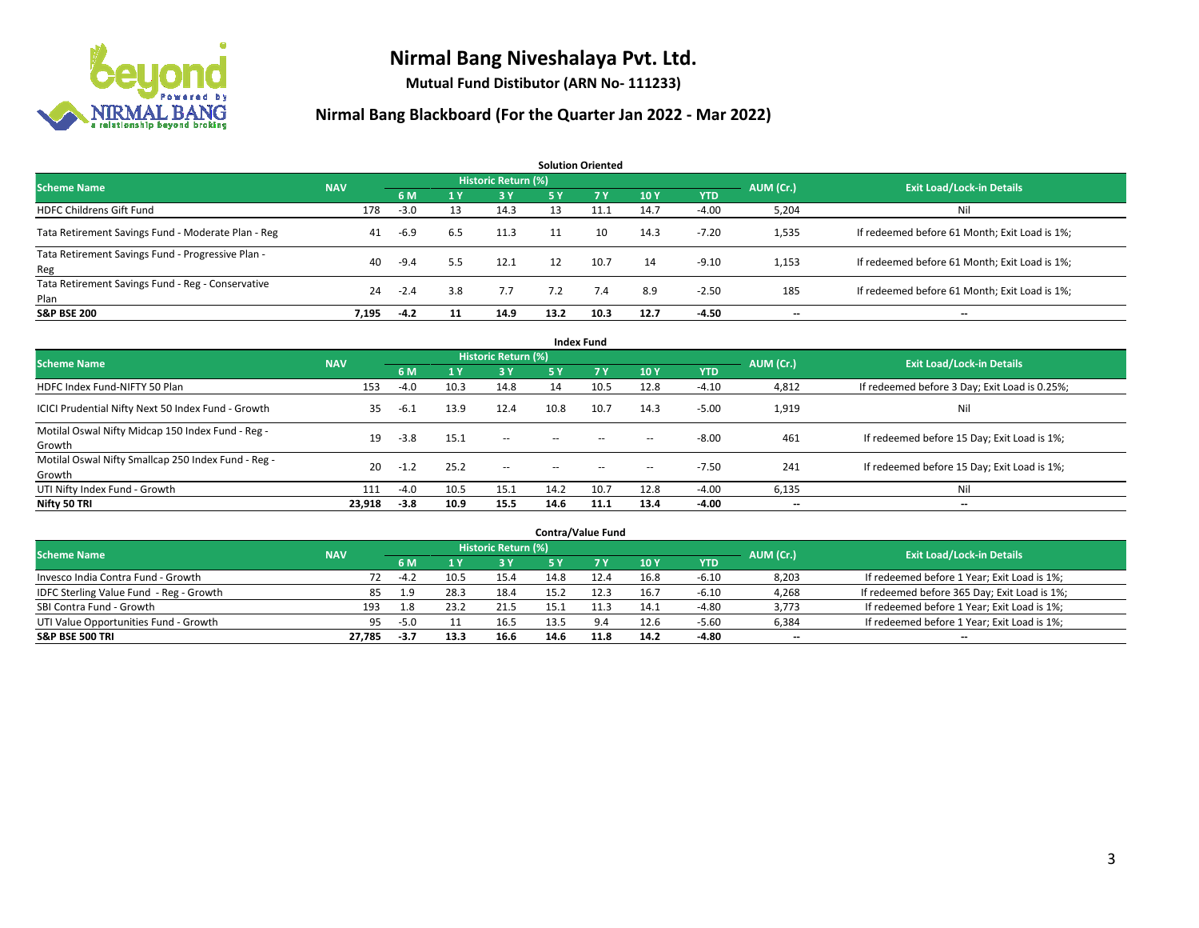

**Mutual Fund Distibutor (ARN No- 111233)**

| <b>Solution Oriented</b>                                  |            |        |           |                     |           |      |      |            |           |                                               |  |  |  |
|-----------------------------------------------------------|------------|--------|-----------|---------------------|-----------|------|------|------------|-----------|-----------------------------------------------|--|--|--|
| <b>Scheme Name</b>                                        | <b>NAV</b> |        |           | Historic Return (%) |           |      |      |            | AUM (Cr.) | <b>Exit Load/Lock-in Details</b>              |  |  |  |
|                                                           |            | 6 M    | <b>1Y</b> | <b>3 Y</b>          | <b>5Y</b> | 7 Y  | 10Y  | <b>YTD</b> |           |                                               |  |  |  |
| <b>HDFC Childrens Gift Fund</b>                           | 178        | $-3.0$ | 13        | 14.3                | 13        | 11.1 | 14.7 | $-4.00$    | 5,204     | Nil                                           |  |  |  |
| Tata Retirement Savings Fund - Moderate Plan - Reg        | 41         | $-6.9$ | 6.5       | 11.3                | 11        | 10   | 14.3 | $-7.20$    | 1,535     | If redeemed before 61 Month; Exit Load is 1%; |  |  |  |
| Tata Retirement Savings Fund - Progressive Plan -<br>Reg  | 40         | $-9.4$ | 5.5       | 12.1                | 12        | 10.7 | 14   | $-9.10$    | 1,153     | If redeemed before 61 Month; Exit Load is 1%; |  |  |  |
| Tata Retirement Savings Fund - Reg - Conservative<br>Plan | 24         | $-2.4$ | 3.8       | 7.7                 | 7.2       | 7.4  | 8.9  | $-2.50$    | 185       | If redeemed before 61 Month; Exit Load is 1%; |  |  |  |
| <b>S&amp;P BSE 200</b>                                    | 7.195      | $-4.2$ | 11        | 14.9                | 13.2      | 10.3 | 12.7 | $-4.50$    |           | --                                            |  |  |  |

| <b>Index Fund</b>                                             |            |        |              |                     |               |                                                |                          |            |           |                                               |  |  |  |
|---------------------------------------------------------------|------------|--------|--------------|---------------------|---------------|------------------------------------------------|--------------------------|------------|-----------|-----------------------------------------------|--|--|--|
| <b>Scheme Name</b>                                            | <b>NAV</b> |        |              | Historic Return (%) |               |                                                |                          |            | AUM (Cr.) | <b>Exit Load/Lock-in Details</b>              |  |  |  |
|                                                               |            | 6 M    | $\sqrt{1}$ Y | <b>3Y</b>           | <b>5Y</b>     | <b>7Y</b>                                      | <b>10Y</b>               | <b>YTD</b> |           |                                               |  |  |  |
| HDFC Index Fund-NIFTY 50 Plan                                 | 153        | $-4.0$ | 10.3         | 14.8                | 14            | 10.5                                           | 12.8                     | $-4.10$    | 4,812     | If redeemed before 3 Day; Exit Load is 0.25%; |  |  |  |
| ICICI Prudential Nifty Next 50 Index Fund - Growth            | 35         | $-6.1$ | 13.9         | 12.4                | 10.8          | 10.7                                           | 14.3                     | $-5.00$    | 1,919     | Nil                                           |  |  |  |
| Motilal Oswal Nifty Midcap 150 Index Fund - Reg -<br>Growth   | 19         | $-3.8$ | 15.1         | $\sim$              | $\sim$        | $\sim$                                         | $\hspace{0.05cm} \cdots$ | $-8.00$    | 461       | If redeemed before 15 Day; Exit Load is 1%;   |  |  |  |
| Motilal Oswal Nifty Smallcap 250 Index Fund - Reg -<br>Growth | 20         | $-1.2$ | 25.2         | $\sim$              | $\sim$ $\sim$ | $\hspace{0.1mm}-\hspace{0.1mm}-\hspace{0.1mm}$ | $\hspace{0.05cm} \cdots$ | $-7.50$    | 241       | If redeemed before 15 Day; Exit Load is 1%;   |  |  |  |
| UTI Nifty Index Fund - Growth                                 | 111        | $-4.0$ | 10.5         | 15.1                | 14.2          | 10.7                                           | 12.8                     | $-4.00$    | 6,135     | Nil                                           |  |  |  |
| Nifty 50 TRI                                                  | 23,918     | $-3.8$ | 10.9         | 15.5                | 14.6          | 11.1                                           | 13.4                     | -4.00      | $- -$     | $\overline{\phantom{a}}$                      |  |  |  |

| <b>Contra/Value Fund</b>                |            |        |      |                     |      |      |      |         |           |                                              |  |  |  |
|-----------------------------------------|------------|--------|------|---------------------|------|------|------|---------|-----------|----------------------------------------------|--|--|--|
| <b>Scheme Name</b>                      | <b>NAV</b> |        |      | Historic Return (%) |      |      |      |         | AUM (Cr.) | <b>Exit Load/Lock-in Details</b>             |  |  |  |
|                                         |            | 6 M    |      | 3 Y                 |      |      | 10Y  | YTD     |           |                                              |  |  |  |
| Invesco India Contra Fund - Growth      | 72         | $-4.2$ | 10.5 | 15.4                | 14.8 |      | 16.8 | $-6.10$ | 8,203     | If redeemed before 1 Year; Exit Load is 1%;  |  |  |  |
| IDFC Sterling Value Fund - Reg - Growth | 85         | 1.9    | 28.3 | 18.4                | 15.2 | 12.3 | 16.7 | $-6.10$ | 4,268     | If redeemed before 365 Day; Exit Load is 1%; |  |  |  |
| SBI Contra Fund - Growth                | 193        | 1.8    | 23.2 | 21.5                | 15.1 | 11.3 | 14.1 | $-4.80$ | 3,773     | If redeemed before 1 Year; Exit Load is 1%;  |  |  |  |
| UTI Value Opportunities Fund - Growth   | 95         | $-5.0$ |      | 16.5                | 13.5 | 9.4  | 12.6 | $-5.60$ | 6,384     | If redeemed before 1 Year; Exit Load is 1%;  |  |  |  |
| <b>S&amp;P BSE 500 TRI</b>              | 27,785     | -3.7   | 13.3 | 16.6                | 14.6 | 11.8 | 14.2 | $-4.80$ | $- -$     | $- -$                                        |  |  |  |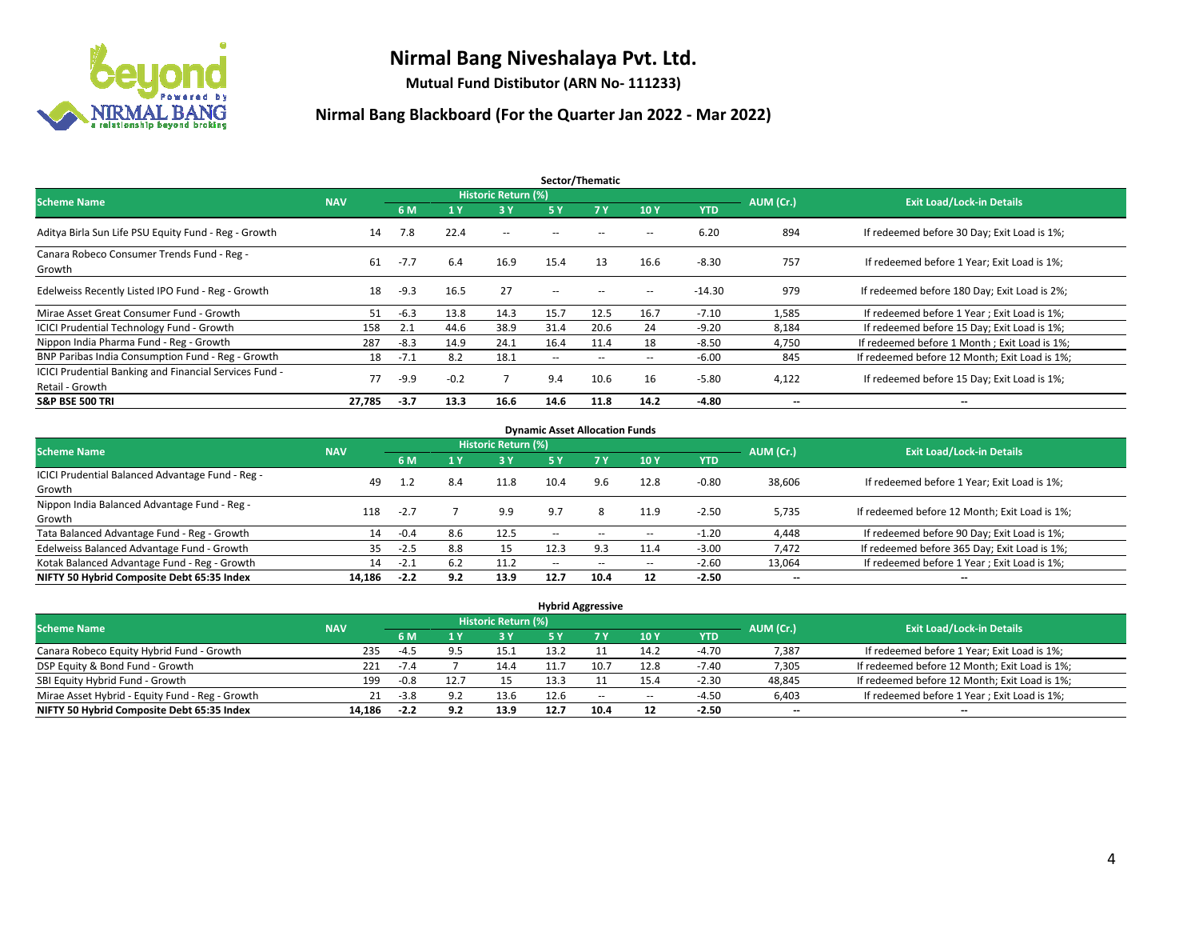

**Mutual Fund Distibutor (ARN No- 111233)**

| Sector/Thematic                                                           |            |        |        |                     |                          |        |                          |            |                          |                                               |  |  |  |
|---------------------------------------------------------------------------|------------|--------|--------|---------------------|--------------------------|--------|--------------------------|------------|--------------------------|-----------------------------------------------|--|--|--|
| <b>Scheme Name</b>                                                        | <b>NAV</b> |        |        | Historic Return (%) |                          |        |                          |            | AUM (Cr.)                | <b>Exit Load/Lock-in Details</b>              |  |  |  |
|                                                                           |            | 6 M    | '1 Y   | 3 Y                 | 5 Y                      | 7Y     | 10Y                      | <b>YTD</b> |                          |                                               |  |  |  |
| Aditya Birla Sun Life PSU Equity Fund - Reg - Growth                      | 14         | 7.8    | 22.4   | $\sim$ $-$          | $\sim$ $\sim$            | --     | $\overline{\phantom{a}}$ | 6.20       | 894                      | If redeemed before 30 Day; Exit Load is 1%;   |  |  |  |
| Canara Robeco Consumer Trends Fund - Reg -<br>Growth                      | 61         | $-7.7$ | 6.4    | 16.9                | 15.4                     | 13     | 16.6                     | $-8.30$    | 757                      | If redeemed before 1 Year; Exit Load is 1%;   |  |  |  |
| Edelweiss Recently Listed IPO Fund - Reg - Growth                         | 18         | $-9.3$ | 16.5   | 27                  | $\overline{\phantom{a}}$ | --     | --                       | $-14.30$   | 979                      | If redeemed before 180 Day; Exit Load is 2%;  |  |  |  |
| Mirae Asset Great Consumer Fund - Growth                                  | 51         | $-6.3$ | 13.8   | 14.3                | 15.7                     | 12.5   | 16.7                     | $-7.10$    | 1,585                    | If redeemed before 1 Year; Exit Load is 1%;   |  |  |  |
| <b>ICICI Prudential Technology Fund - Growth</b>                          | 158        | 2.1    | 44.6   | 38.9                | 31.4                     | 20.6   | 24                       | $-9.20$    | 8,184                    | If redeemed before 15 Day; Exit Load is 1%;   |  |  |  |
| Nippon India Pharma Fund - Reg - Growth                                   | 287        | $-8.3$ | 14.9   | 24.1                | 16.4                     | 11.4   | 18                       | $-8.50$    | 4,750                    | If redeemed before 1 Month; Exit Load is 1%;  |  |  |  |
| BNP Paribas India Consumption Fund - Reg - Growth                         | 18         | $-7.1$ | 8.2    | 18.1                | $\overline{\phantom{a}}$ | $\sim$ | $\overline{\phantom{a}}$ | $-6.00$    | 845                      | If redeemed before 12 Month; Exit Load is 1%; |  |  |  |
| ICICI Prudential Banking and Financial Services Fund -<br>Retail - Growth | 77         | $-9.9$ | $-0.2$ |                     | 9.4                      | 10.6   | 16                       | $-5.80$    | 4,122                    | If redeemed before 15 Day; Exit Load is 1%;   |  |  |  |
| <b>S&amp;P BSE 500 TRI</b>                                                | 27.785     | $-3.7$ | 13.3   | 16.6                | 14.6                     | 11.8   | 14.2                     | -4.80      | $\overline{\phantom{a}}$ | $\overline{\phantom{a}}$                      |  |  |  |

| <b>Dynamic Asset Allocation Funds</b>            |            |        |      |                     |        |                          |                          |         |                          |                                               |  |  |  |
|--------------------------------------------------|------------|--------|------|---------------------|--------|--------------------------|--------------------------|---------|--------------------------|-----------------------------------------------|--|--|--|
| <b>Scheme Name</b>                               | <b>NAV</b> |        |      | Historic Return (%) |        |                          |                          |         | AUM (Cr.)                | <b>Exit Load/Lock-in Details</b>              |  |  |  |
|                                                  |            | 6 M    | 4 Y  | 3 Y                 | 5 Y    | 7Y                       | 10Y                      | YTD     |                          |                                               |  |  |  |
| ICICI Prudential Balanced Advantage Fund - Reg - |            |        |      | 11.8                | 10.4   | 9.6                      | 12.8                     |         |                          |                                               |  |  |  |
| Growth                                           | 49         | 1.2    | 8.4  |                     |        |                          |                          | $-0.80$ | 38,606                   | If redeemed before 1 Year; Exit Load is 1%;   |  |  |  |
| Nippon India Balanced Advantage Fund - Reg -     | 118        | $-2.7$ |      |                     | 9.7    |                          |                          | $-2.50$ |                          |                                               |  |  |  |
| Growth                                           |            |        |      | 9.9                 |        | 8                        | 11.9                     |         | 5,735                    | If redeemed before 12 Month; Exit Load is 1%; |  |  |  |
| Tata Balanced Advantage Fund - Reg - Growth      | 14         | $-0.4$ | 8.6  | 12.5                | $\sim$ | $\overline{\phantom{a}}$ | $\hspace{0.05cm} \ldots$ | $-1.20$ | 4.448                    | If redeemed before 90 Day; Exit Load is 1%;   |  |  |  |
| Edelweiss Balanced Advantage Fund - Growth       | 35         | $-2.5$ | 8.8  | 15                  | 12.3   | 9.3                      | 11.4                     | $-3.00$ | 7,472                    | If redeemed before 365 Day; Exit Load is 1%;  |  |  |  |
| Kotak Balanced Advantage Fund - Reg - Growth     | 14         | $-2.1$ | -6.2 | 11.2                | $-$    | $\sim$                   | $\!-$                    | $-2.60$ | 13,064                   | If redeemed before 1 Year; Exit Load is 1%;   |  |  |  |
| NIFTY 50 Hybrid Composite Debt 65:35 Index       | 14.186     | $-2.2$ | 9.2  | 13.9                | 12.7   | 10.4                     | 12                       | $-2.50$ | $\overline{\phantom{a}}$ | $\overline{\phantom{a}}$                      |  |  |  |

| <b>Hybrid Aggressive</b>                        |            |        |      |                            |            |        |       |         |                          |                                               |  |  |  |
|-------------------------------------------------|------------|--------|------|----------------------------|------------|--------|-------|---------|--------------------------|-----------------------------------------------|--|--|--|
| <b>Scheme Name</b>                              | <b>NAV</b> |        |      | <b>Historic Return (%)</b> |            |        |       |         | AUM (Cr.)                | <b>Exit Load/Lock-in Details</b>              |  |  |  |
|                                                 |            | 6 M    |      | 3V                         | <b>5 Y</b> |        | 10Y   | YTD     |                          |                                               |  |  |  |
| Canara Robeco Equity Hybrid Fund - Growth       | 235        | -4.5   | uц   | 15.1                       | 13.2       |        | 14.2  | $-4.70$ | 7,387                    | If redeemed before 1 Year; Exit Load is 1%;   |  |  |  |
| DSP Equity & Bond Fund - Growth                 | 221        | $-1.4$ |      | 14.4                       |            | 10.    | 12.8  | $-7.40$ | 7,305                    | If redeemed before 12 Month; Exit Load is 1%; |  |  |  |
| SBI Equity Hybrid Fund - Growth                 | 199        | $-0.8$ | 12.7 |                            | 13.3       |        | 15.4  | $-2.30$ | 48,845                   | If redeemed before 12 Month; Exit Load is 1%; |  |  |  |
| Mirae Asset Hybrid - Equity Fund - Reg - Growth | 21         | $-3.8$ |      | 13.6                       | 12.6       | $\sim$ | $\!-$ | $-4.50$ | 6,403                    | If redeemed before 1 Year; Exit Load is 1%;   |  |  |  |
| NIFTY 50 Hybrid Composite Debt 65:35 Index      | 14.186     | $-2.2$ | 9.2  | 13.9                       | 12.7       | 10.4   | 12    | $-2.50$ | $\overline{\phantom{a}}$ | $\overline{\phantom{a}}$                      |  |  |  |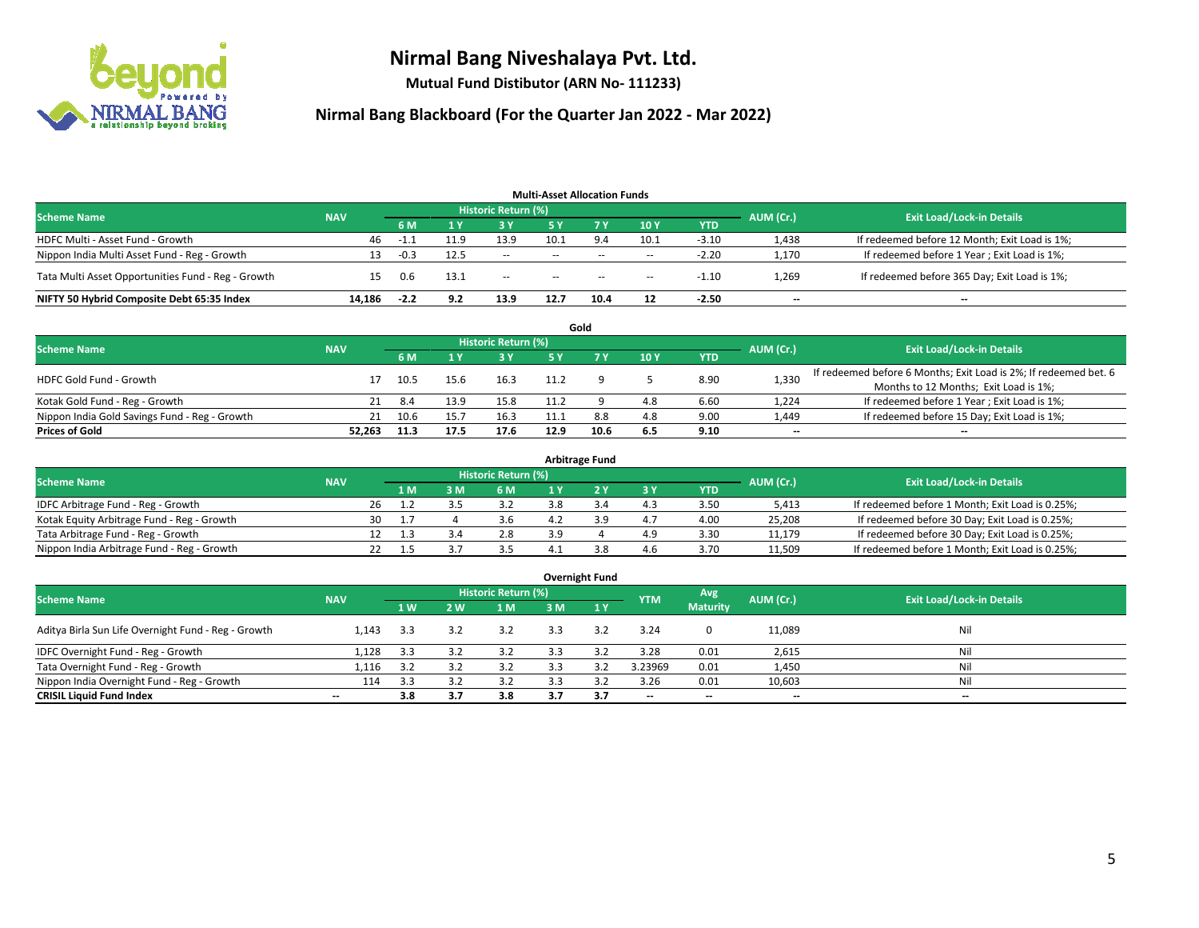

**Mutual Fund Distibutor (ARN No- 111233)**

|                                                    |            |        |      |                            | <b>Multi-Asset Allocation Funds</b> |        |                          |            |                          |                                               |
|----------------------------------------------------|------------|--------|------|----------------------------|-------------------------------------|--------|--------------------------|------------|--------------------------|-----------------------------------------------|
| <b>Scheme Name</b>                                 | <b>NAV</b> |        |      | <b>Historic Return (%)</b> |                                     |        |                          |            | AUM (Cr.)                | <b>Exit Load/Lock-in Details</b>              |
|                                                    |            | 6 M    |      | <b>3 Y</b>                 | 5 Y                                 | 7 Y    | 10Y                      | <b>YTD</b> |                          |                                               |
| HDFC Multi - Asset Fund - Growth                   | 46         |        |      | 13.9                       | 10.1                                | 9.4    | 10.1                     | $-3.10$    | 1,438                    | If redeemed before 12 Month; Exit Load is 1%; |
| Nippon India Multi Asset Fund - Reg - Growth       | 13         | $-0.3$ | 12.5 | $\sim$                     | $\sim$ $\sim$                       | $-$    | $\sim$                   | $-2.20$    | 1,170                    | If redeemed before 1 Year; Exit Load is 1%;   |
| Tata Multi Asset Opportunities Fund - Reg - Growth | 15         | 0.6    | 13.1 | $\sim$                     | $\sim$                              | $\sim$ | $\overline{\phantom{a}}$ | $-1.10$    | 1,269                    | If redeemed before 365 Day; Exit Load is 1%;  |
| NIFTY 50 Hybrid Composite Debt 65:35 Index         | 14.186     | $-2.2$ | 9.2  | 13.9                       | 12.7                                | 10.4   | 12                       | $-2.50$    | $\overline{\phantom{a}}$ | --                                            |

|                                               |            |      |           |                                  |      | Gold |     |      |                          |                                                                  |
|-----------------------------------------------|------------|------|-----------|----------------------------------|------|------|-----|------|--------------------------|------------------------------------------------------------------|
| <b>Scheme Name</b>                            | <b>NAV</b> |      | AUM (Cr.) | <b>Exit Load/Lock-in Details</b> |      |      |     |      |                          |                                                                  |
|                                               |            | 6 M  |           | 3 Y                              | 5 V  |      | 10Y | YTD  |                          |                                                                  |
| <b>HDFC Gold Fund - Growth</b>                |            | 10.5 | 15.6      | 16.3                             |      |      |     | 8.90 | 1,330                    | If redeemed before 6 Months; Exit Load is 2%; If redeemed bet. 6 |
|                                               |            |      |           |                                  |      |      |     |      |                          | Months to 12 Months; Exit Load is 1%;                            |
| Kotak Gold Fund - Reg - Growth                |            | -8.4 |           | 15.8                             |      |      | 4.8 | 6.60 | 1,224                    | If redeemed before 1 Year; Exit Load is 1%;                      |
| Nippon India Gold Savings Fund - Reg - Growth | 21         | 10.6 | 15.7      | 16.3                             |      | 8.8  | 4.8 | 9.00 | 1,449                    | If redeemed before 15 Day; Exit Load is 1%;                      |
| <b>Prices of Gold</b>                         | 52.263     | 11.3 | 17.5      | 17.6                             | 12.9 | 10.6 | 6.5 | 9.10 | $\overline{\phantom{a}}$ | --                                                               |

| <b>Arbitrage Fund</b>                      |            |                                  |     |     |     |     |  |     |            |        |                                                 |  |  |
|--------------------------------------------|------------|----------------------------------|-----|-----|-----|-----|--|-----|------------|--------|-------------------------------------------------|--|--|
| <b>Scheme Name</b>                         | AUM (Cr.)  | <b>Exit Load/Lock-in Details</b> |     |     |     |     |  |     |            |        |                                                 |  |  |
|                                            | <b>NAV</b> |                                  | 1 M | : M | 6 M |     |  | 3 Y | <b>YTD</b> |        |                                                 |  |  |
| IDFC Arbitrage Fund - Reg - Growth         |            | 26                               |     |     | 3.2 | 3.8 |  | 4.3 | 3.50       | 5,413  | If redeemed before 1 Month; Exit Load is 0.25%; |  |  |
| Kotak Equity Arbitrage Fund - Reg - Growth |            | 30                               |     |     | 3.b |     |  | 4.7 | 4.00       | 25,208 | If redeemed before 30 Day; Exit Load is 0.25%;  |  |  |
| Tata Arbitrage Fund - Reg - Growth         |            |                                  |     |     | 2.8 | 3 Q |  | 4.9 | 3.30       | 11.179 | If redeemed before 30 Day; Exit Load is 0.25%;  |  |  |
| Nippon India Arbitrage Fund - Reg - Growth |            |                                  |     |     |     |     |  | 4.6 | 3.70       | 11,509 | If redeemed before 1 Month; Exit Load is 0.25%; |  |  |

|                                                     |                          |     |     |                            |     | <b>Overnight Fund</b> |                          |                 |                          |                                  |
|-----------------------------------------------------|--------------------------|-----|-----|----------------------------|-----|-----------------------|--------------------------|-----------------|--------------------------|----------------------------------|
| <b>Scheme Name</b>                                  | <b>NAV</b>               |     |     | <b>Historic Return (%)</b> |     |                       | <b>YTM</b>               | Avg             | AUM (Cr.)                | <b>Exit Load/Lock-in Details</b> |
|                                                     |                          | 1W  | 2 W | 1 M                        | 3 M | 1Y                    |                          | <b>Maturity</b> |                          |                                  |
| Aditya Birla Sun Life Overnight Fund - Reg - Growth | 1.143                    | 3.3 | 3.2 | 3.2                        | 3.3 | 3.2                   | 3.24                     | $\mathbf{0}$    | 11,089                   | Nil                              |
| IDFC Overnight Fund - Reg - Growth                  | 1,128                    | 3.3 | 3.2 | 3.2                        | 3.3 | 3.2                   | 3.28                     | 0.01            | 2,615                    | Nil                              |
| Tata Overnight Fund - Reg - Growth                  | 1,116                    | 3.2 |     | 3.2                        |     | 3.2                   | 3.23969                  | 0.01            | 1,450                    | Nil                              |
| Nippon India Overnight Fund - Reg - Growth          | 114                      | 3.3 |     | 3.2                        |     |                       | 3.26                     | 0.01            | 10,603                   | Nil                              |
| <b>CRISIL Liquid Fund Index</b>                     | $\overline{\phantom{a}}$ | 3.8 | 3.7 | 3.8                        | 3.7 | 3.7                   | $\overline{\phantom{a}}$ | $- -$           | $\overline{\phantom{a}}$ | $-$                              |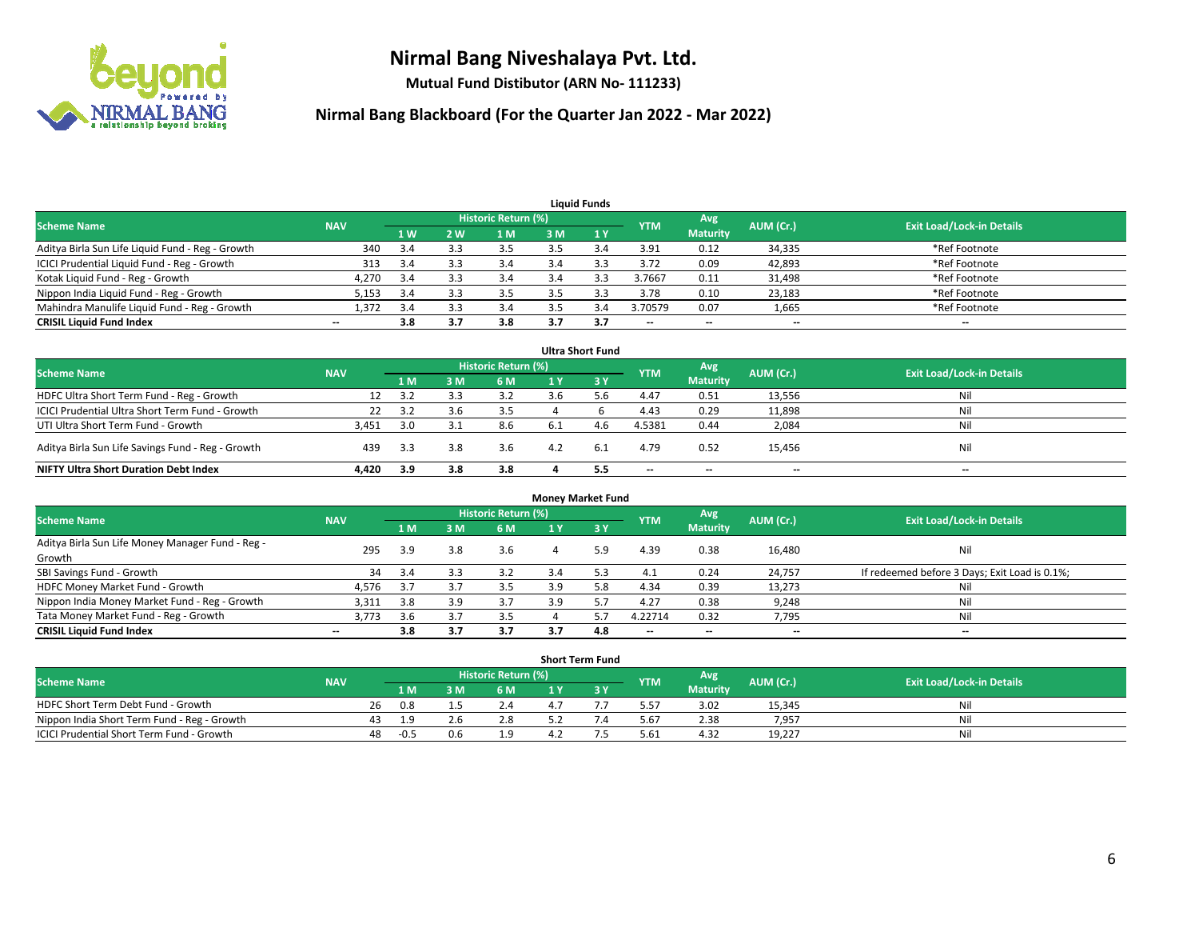

**Mutual Fund Distibutor (ARN No- 111233)**

| <b>Liauid Funds</b>                              |            |     |     |                     |     |     |            |                          |           |                                  |  |  |  |
|--------------------------------------------------|------------|-----|-----|---------------------|-----|-----|------------|--------------------------|-----------|----------------------------------|--|--|--|
| <b>Scheme Name</b>                               | <b>NAV</b> |     |     | Historic Return (%) |     |     | <b>YTM</b> | Avg                      | AUM (Cr.) | <b>Exit Load/Lock-in Details</b> |  |  |  |
|                                                  |            | 1W  | 2 W | 1 M                 | 3 M |     |            | <b>Maturity</b>          |           |                                  |  |  |  |
| Aditya Birla Sun Life Liquid Fund - Reg - Growth | 340        | 3.4 |     | 3.5                 |     |     | 3.91       | 0.12                     | 34,335    | *Ref Footnote                    |  |  |  |
| ICICI Prudential Liquid Fund - Reg - Growth      | 313        | 3.4 | 3.3 | 3.4                 | 3.4 |     | 3.72       | 0.09                     | 42,893    | *Ref Footnote                    |  |  |  |
| Kotak Liquid Fund - Reg - Growth                 | 4,270      | 3.4 |     | 3.4                 |     | 3.3 | 3.7667     | 0.11                     | 31,498    | *Ref Footnote                    |  |  |  |
| Nippon India Liquid Fund - Reg - Growth          | 5,153      | 3.4 |     | 3.5                 |     |     | 3.78       | 0.10                     | 23,183    | *Ref Footnote                    |  |  |  |
| Mahindra Manulife Liquid Fund - Reg - Growth     | 1,372      | 3.4 |     | 3.4                 |     |     | 3.70579    | 0.07                     | 1,665     | *Ref Footnote                    |  |  |  |
| <b>CRISIL Liquid Fund Index</b>                  | --         | 3.8 |     | 3.8                 |     | 3.7 | $- -$      | $\overline{\phantom{a}}$ | $- -$     | $\overline{\phantom{a}}$         |  |  |  |

| <b>Ultra Short Fund</b>                           |            |     |     |                            |     |      |            |                          |           |                                  |  |  |  |
|---------------------------------------------------|------------|-----|-----|----------------------------|-----|------|------------|--------------------------|-----------|----------------------------------|--|--|--|
| <b>Scheme Name</b>                                | <b>NAV</b> |     |     | <b>Historic Return (%)</b> |     |      | <b>YTM</b> | Avg                      | AUM (Cr.) | <b>Exit Load/Lock-in Details</b> |  |  |  |
|                                                   |            | 1 M | 3 M | 6 M                        |     | -3 Y |            | <b>Maturity</b>          |           |                                  |  |  |  |
| HDFC Ultra Short Term Fund - Reg - Growth         | 12         | 3.2 |     | 3.2                        | 3.6 | o.b  | 4.47       | 0.51                     | 13,556    | Nil                              |  |  |  |
| ICICI Prudential Ultra Short Term Fund - Growth   | 22         | 3.2 |     | 3.5                        |     |      | 4.43       | 0.29                     | 11,898    | Nil                              |  |  |  |
| UTI Ultra Short Term Fund - Growth                | 3,451      | 3.0 |     | 8.6                        | 6.1 | 4.6  | 4.5381     | 0.44                     | 2,084     | Nil                              |  |  |  |
| Aditya Birla Sun Life Savings Fund - Reg - Growth | 439        | 3.3 | 3.8 | 3.6                        | 4.2 | 6.1  | 4.79       | 0.52                     | 15,456    | Nil                              |  |  |  |
| <b>NIFTY Ultra Short Duration Debt Index</b>      | 4.420      | 3.9 | 3.8 | 3.8                        |     | 5.5  | $-$        | $\overline{\phantom{a}}$ | $- -$     | $- -$                            |  |  |  |

| <b>Money Market Fund</b>                         |            |     |     |                     |     |     |                          |                          |           |                                               |  |  |  |
|--------------------------------------------------|------------|-----|-----|---------------------|-----|-----|--------------------------|--------------------------|-----------|-----------------------------------------------|--|--|--|
| <b>Scheme Name</b>                               | <b>NAV</b> |     |     | Historic Return (%) |     |     | <b>YTM</b>               | Avg                      | AUM (Cr.) | <b>Exit Load/Lock-in Details</b>              |  |  |  |
|                                                  |            | 1 M | 3 M | 6 M                 |     | 3Y  |                          | <b>Maturity</b>          |           |                                               |  |  |  |
| Aditya Birla Sun Life Money Manager Fund - Reg - | 295        | 3.9 | 3.8 | 3.6                 | 4   | 5.9 | 4.39                     | 0.38                     | 16,480    | Nil                                           |  |  |  |
| Growth                                           |            |     |     |                     |     |     |                          |                          |           |                                               |  |  |  |
| SBI Savings Fund - Growth                        | 34         |     |     | 3.2                 | 3.4 |     | 4.1                      | 0.24                     | 24,757    | If redeemed before 3 Days; Exit Load is 0.1%; |  |  |  |
| HDFC Money Market Fund - Growth                  | 4,576      | 3.7 |     | 3.5                 | 3.9 | 5.8 | 4.34                     | 0.39                     | 13,273    | Nil                                           |  |  |  |
| Nippon India Money Market Fund - Reg - Growth    | 3,311      | 3.8 | 3.9 | 3.7                 | 3.9 |     | 4.27                     | 0.38                     | 9,248     | Nil                                           |  |  |  |
| Tata Money Market Fund - Reg - Growth            | 3,773      | 3.6 |     | 3.5                 |     |     | 4.22714                  | 0.32                     | 7,795     | Nil                                           |  |  |  |
| <b>CRISIL Liquid Fund Index</b>                  | $- -$      | 3.8 | 3.7 | 3.7                 | 3.7 | 4.8 | $\overline{\phantom{a}}$ | $\overline{\phantom{a}}$ | $- -$     | $- -$                                         |  |  |  |

|                                             |            |              |     |                            | <b>Short Term Fund</b> |            |                 |           |                                  |
|---------------------------------------------|------------|--------------|-----|----------------------------|------------------------|------------|-----------------|-----------|----------------------------------|
| <b>Scheme Name</b>                          | <b>NAV</b> |              |     | <b>Historic Return (%)</b> |                        | <b>YTM</b> | Avg             | AUM (Cr.) | <b>Exit Load/Lock-in Details</b> |
|                                             |            | 1 M.         |     | 6 M                        |                        |            | <b>Maturity</b> |           |                                  |
| HDFC Short Term Debt Fund - Growth          |            | 26<br>0.8    |     |                            |                        | 5.57       | 3.02            | 15,345    | Nil                              |
| Nippon India Short Term Fund - Reg - Growth |            |              |     | 2.8                        |                        | 5.67       | 2.38            | 7,957     | Nil                              |
| ICICI Prudential Short Term Fund - Growth   |            | 48<br>$-0.5$ | 0.6 |                            |                        | 5.61       | 4.32            | 19,227    | Nil                              |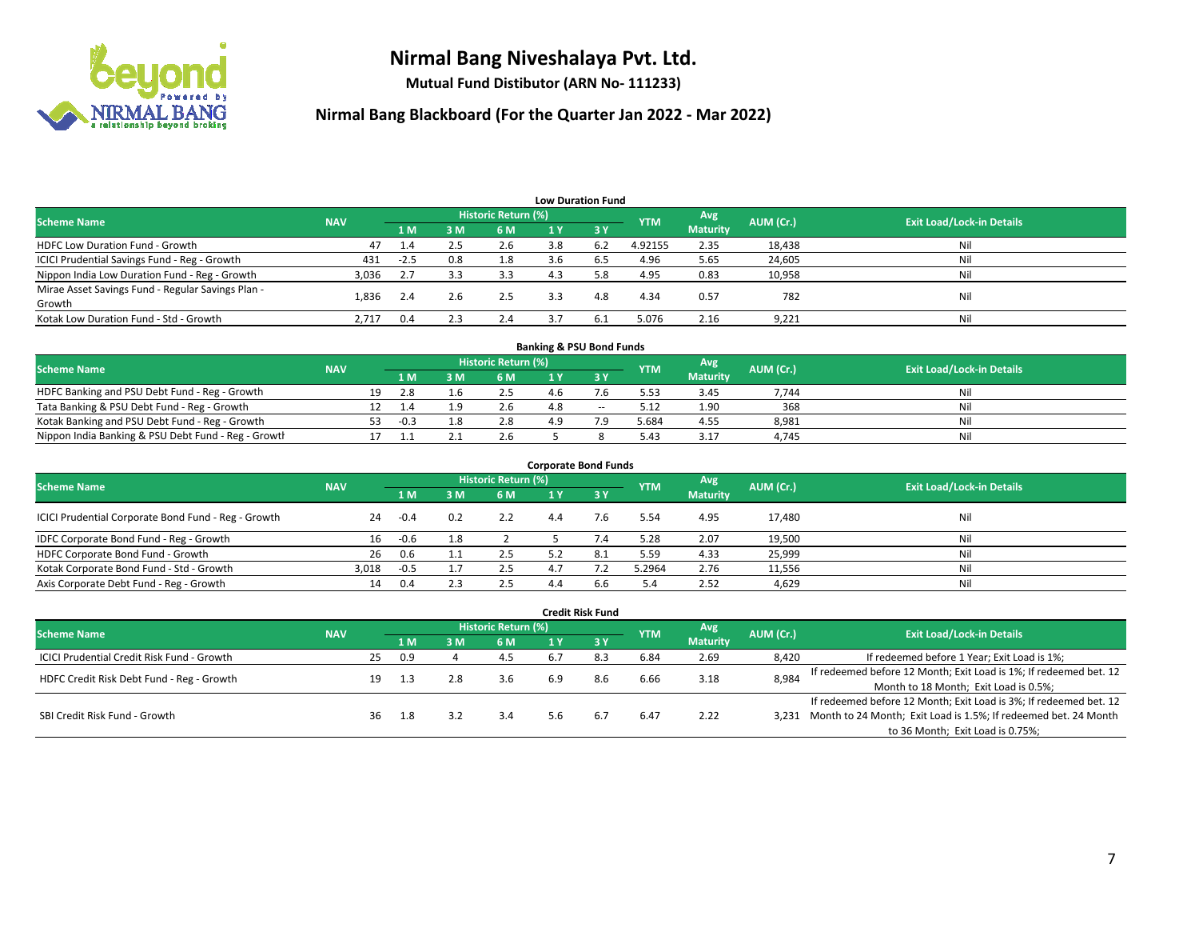

**Mutual Fund Distibutor (ARN No- 111233)**

| <b>Low Duration Fund</b>                          |            |        |     |                     |     |                               |            |                 |           |                                  |  |  |  |
|---------------------------------------------------|------------|--------|-----|---------------------|-----|-------------------------------|------------|-----------------|-----------|----------------------------------|--|--|--|
| <b>Scheme Name</b>                                | <b>NAV</b> |        |     | Historic Return (%) |     |                               | <b>YTM</b> | Avg             | AUM (Cr.) | <b>Exit Load/Lock-in Details</b> |  |  |  |
|                                                   |            | 1 M    | 3M  | 6 M                 | 1 Y | $\overline{3}$ $\overline{V}$ |            | <b>Maturity</b> |           |                                  |  |  |  |
| <b>HDFC Low Duration Fund - Growth</b>            | 47         | 1.4    | 2.5 | 2.6                 | 3.8 | 6.2                           | 4.92155    | 2.35            | 18,438    | Nil                              |  |  |  |
| ICICI Prudential Savings Fund - Reg - Growth      | 431        | $-2.5$ | 0.8 | 1.8                 | 3.6 | 6.5                           | 4.96       | 5.65            | 24,605    | Nil                              |  |  |  |
| Nippon India Low Duration Fund - Reg - Growth     | 3,036      | 2.7    | 3.3 | 3.3                 | 4.3 | 5.8                           | 4.95       | 0.83            | 10,958    | Nil                              |  |  |  |
| Mirae Asset Savings Fund - Regular Savings Plan - | 1.836      | 2.4    | 2.6 | 2.5                 | 3.3 | 4.8                           | 4.34       | 0.57            | 782       | Nil                              |  |  |  |
| Growth                                            |            |        |     |                     |     |                               |            |                 |           |                                  |  |  |  |
| Kotak Low Duration Fund - Std - Growth            | 2,717      | 0.4    | 2.3 | 2.4                 |     | 6.1                           | 5.076      | 2.16            | 9,221     | Nil                              |  |  |  |

| <b>Banking &amp; PSU Bond Funds</b>                 |            |    |       |  |                     |     |        |            |                 |           |                                  |  |  |  |
|-----------------------------------------------------|------------|----|-------|--|---------------------|-----|--------|------------|-----------------|-----------|----------------------------------|--|--|--|
| <b>Scheme Name</b>                                  | <b>NAV</b> |    |       |  | Historic Return (%) |     |        | <b>YTM</b> | Avg             | AUM (Cr.) | <b>Exit Load/Lock-in Details</b> |  |  |  |
|                                                     |            |    | 1 M I |  | 6 M                 |     |        |            | <b>Maturity</b> |           |                                  |  |  |  |
| HDFC Banking and PSU Debt Fund - Reg - Growth       |            | 19 |       |  | 2.5                 | 4.b |        | 5.53       | 3.45            | 7,744     | Nil                              |  |  |  |
| Tata Banking & PSU Debt Fund - Reg - Growth         |            |    |       |  | 2.6                 | 4.8 | $\sim$ | 5.12       | 1.90            | 368       | Nil                              |  |  |  |
| Kotak Banking and PSU Debt Fund - Reg - Growth      |            | 53 | -0.3  |  | 2.8                 | 49  |        | 5.684      | 4.55            | 8,981     | Nil                              |  |  |  |
| Nippon India Banking & PSU Debt Fund - Reg - Growth |            |    |       |  | 2.6                 |     |        | 5.43       | 3.17            | 4.745     | Nil                              |  |  |  |

| <b>Corporate Bond Funds</b>                         |            |        |     |                            |     |      |            |                 |           |                                  |  |
|-----------------------------------------------------|------------|--------|-----|----------------------------|-----|------|------------|-----------------|-----------|----------------------------------|--|
| <b>Scheme Name</b>                                  | <b>NAV</b> |        |     | <b>Historic Return (%)</b> |     |      |            | Avg             | AUM (Cr.) | <b>Exit Load/Lock-in Details</b> |  |
|                                                     |            | 1 M    | 3 M | 6 M                        |     | -3 Y | <b>YTM</b> | <b>Maturity</b> |           |                                  |  |
| ICICI Prudential Corporate Bond Fund - Reg - Growth | 24         | $-0.4$ | 0.2 | 2.2                        | 4.4 | 7.6  | 5.54       | 4.95            | 17,480    | Nil                              |  |
| IDFC Corporate Bond Fund - Reg - Growth             | 16         | $-0.6$ | 1.8 |                            |     |      | 5.28       | 2.07            | 19,500    | Nil                              |  |
| HDFC Corporate Bond Fund - Growth                   | 26         | 0.6    |     | 2.5                        | 5.2 | 8.1  | 5.59       | 4.33            | 25,999    | Nil                              |  |
| Kotak Corporate Bond Fund - Std - Growth            | 3.018      | -0.5   |     | 2.5                        | 47  |      | 5.2964     | 2.76            | 11,556    | Nil                              |  |
| Axis Corporate Debt Fund - Reg - Growth             | 14         | 0.4    |     | 2.5                        | 4.4 | 6.6  | 5.4        | 2.52            | 4,629     | Nil                              |  |

|                                                   |            |    |     |     |                            |     | <b>Credit Risk Fund</b> |            |                        |           |                                                                       |
|---------------------------------------------------|------------|----|-----|-----|----------------------------|-----|-------------------------|------------|------------------------|-----------|-----------------------------------------------------------------------|
| <b>Scheme Name</b>                                | <b>NAV</b> |    |     |     | <b>Historic Return (%)</b> |     |                         | <b>YTM</b> | Avg<br><b>Maturity</b> | AUM (Cr.) | <b>Exit Load/Lock-in Details</b>                                      |
|                                                   |            |    | 1 M | 3 M | 6 M                        | 1 Y | $\sqrt{3}$ Y            |            |                        |           |                                                                       |
| <b>ICICI Prudential Credit Risk Fund - Growth</b> |            | 25 | 0.9 |     | -4.5                       | 6.7 | 8.3                     | 6.84       | 2.69                   | 8,420     | If redeemed before 1 Year; Exit Load is 1%;                           |
| HDFC Credit Risk Debt Fund - Reg - Growth         |            | 19 | 1.3 |     | 3.6                        | 6.9 | 8.6                     | 6.66       | 3.18                   | 8,984     | If redeemed before 12 Month; Exit Load is 1%; If redeemed bet. 12     |
|                                                   |            |    |     |     |                            |     |                         |            |                        |           | Month to 18 Month; Exit Load is 0.5%;                                 |
| SBI Credit Risk Fund - Growth                     |            |    |     |     |                            |     |                         |            |                        |           | If redeemed before 12 Month; Exit Load is 3%; If redeemed bet. 12     |
|                                                   |            | 36 | 1.8 |     | 3.4                        | 5.6 | 6.7                     | 6.47       | 2.22                   |           | 3,231 Month to 24 Month; Exit Load is 1.5%; If redeemed bet. 24 Month |
|                                                   |            |    |     |     |                            |     |                         |            |                        |           | to 36 Month; Exit Load is 0.75%;                                      |